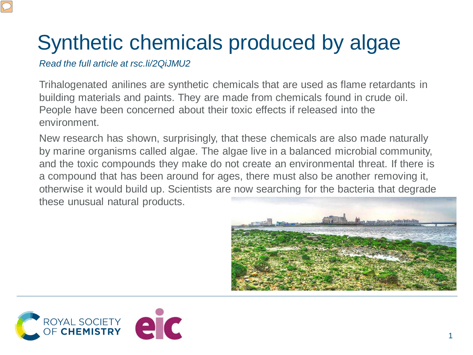## Synthetic chemicals produced by algae

## *Read the full article at rsc.li/2QiJMU2*

Trihalogenated anilines are synthetic chemicals that are used as flame retardants in building materials and paints. They are made from chemicals found in crude oil. People have been concerned about their toxic effects if released into the environment.

New research has shown, surprisingly, that these chemicals are also made naturally by marine organisms called algae. The algae live in a balanced microbial community, and the toxic compounds they make do not create an environmental threat. If there is a compound that has been around for ages, there must also be another removing it, otherwise it would build up. Scientists are now searching for the bacteria that degrade these unusual natural products.